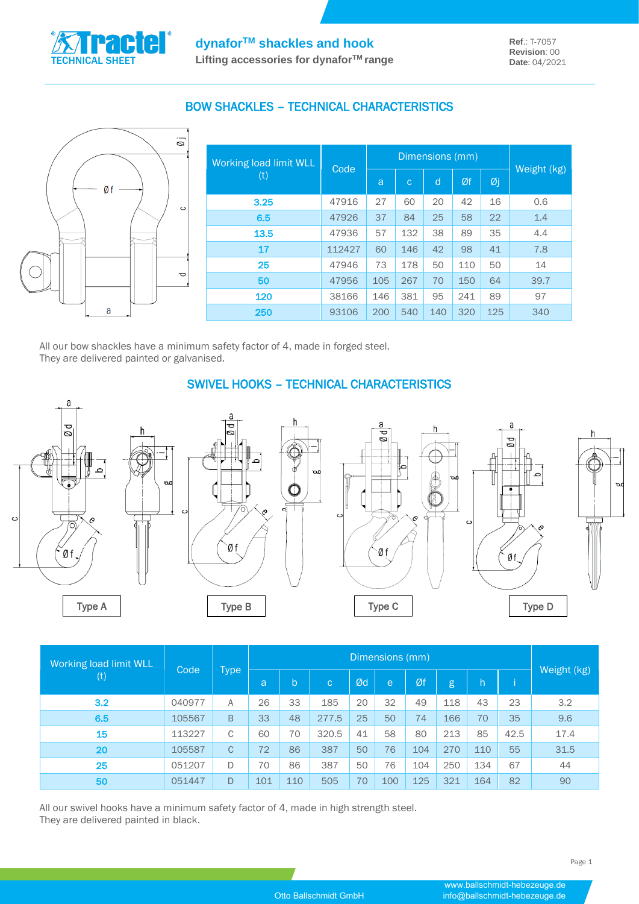

## BOW SHACKLES – TECHNICAL CHARACTERISTICS



| Working load limit WLL | Code   |     | Dimensions (mm) |     |     |     |             |
|------------------------|--------|-----|-----------------|-----|-----|-----|-------------|
| (t)                    |        | a   | $\mathbf C$     | d   | Øf  | Øj  | Weight (kg) |
| 3.25                   | 47916  | 27  | 60              | 20  | 42  | 16  | 0.6         |
| 6.5                    | 47926  | 37  | 84              | 25  | 58  | 22  | 1.4         |
| 13.5                   | 47936  | 57  | 132             | 38  | 89  | 35  | 4.4         |
| 17                     | 112427 | 60  | 146             | 42  | 98  | 41  | 7.8         |
| 25                     | 47946  | 73  | 178             | 50  | 110 | 50  | 14          |
| 50                     | 47956  | 105 | 267             | 70  | 150 | 64  | 39.7        |
| 120                    | 38166  | 146 | 381             | 95  | 241 | 89  | 97          |
| 250                    | 93106  | 200 | 540             | 140 | 320 | 125 | 340         |

All our bow shackles have a minimum safety factor of 4, made in forged steel. They are delivered painted or galvanised.

 $\epsilon$ 



# SWIVEL HOOKS – TECHNICAL CHARACTERISTICS







| <b>Working load limit WLL</b> | Code   | Type         | Dimensions (mm) |              |              |    |     |     |     |     |      |             |
|-------------------------------|--------|--------------|-----------------|--------------|--------------|----|-----|-----|-----|-----|------|-------------|
| $\left( \mathrm{t}\right)$    |        |              | a               | $\mathsf{b}$ | $\mathbf{C}$ | Ød | e   | Øf  | g   | 'h  |      | Weight (kg) |
| 3.2                           | 040977 | A            | 26              | 33           | 185          | 20 | 32  | 49  | 118 | 43  | 23   | 3.2         |
| 6.5                           | 105567 | B            | 33              | 48           | 277.5        | 25 | 50  | 74  | 166 | 70  | 35   | 9.6         |
| <b>15</b>                     | 113227 | C            | 60              | 70           | 320.5        | 41 | 58  | 80  | 213 | 85  | 42.5 | 17.4        |
| 20                            | 105587 | $\mathsf{C}$ | 72              | 86           | 387          | 50 | 76  | 104 | 270 | 110 | 55   | 31.5        |
| 25                            | 051207 | D            | 70              | 86           | 387          | 50 | 76  | 104 | 250 | 134 | 67   | 44          |
| 50                            | 051447 | D            | 101             | 110          | 505          | 70 | 100 | 125 | 321 | 164 | 82   | 90          |

All our swivel hooks have a minimum safety factor of 4, made in high strength steel. They are delivered painted in black.

a

Øf